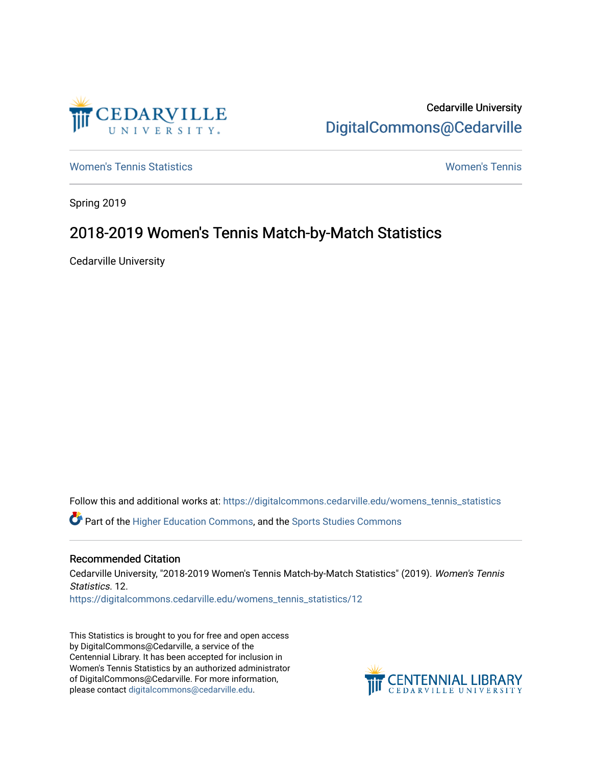

Cedarville University [DigitalCommons@Cedarville](https://digitalcommons.cedarville.edu/) 

[Women's Tennis Statistics](https://digitalcommons.cedarville.edu/womens_tennis_statistics) [Women's Tennis](https://digitalcommons.cedarville.edu/womens_tennis) 

Spring 2019

## 2018-2019 Women's Tennis Match-by-Match Statistics

Cedarville University

Follow this and additional works at: [https://digitalcommons.cedarville.edu/womens\\_tennis\\_statistics](https://digitalcommons.cedarville.edu/womens_tennis_statistics?utm_source=digitalcommons.cedarville.edu%2Fwomens_tennis_statistics%2F12&utm_medium=PDF&utm_campaign=PDFCoverPages)  Part of the [Higher Education Commons,](http://network.bepress.com/hgg/discipline/1245?utm_source=digitalcommons.cedarville.edu%2Fwomens_tennis_statistics%2F12&utm_medium=PDF&utm_campaign=PDFCoverPages) and the [Sports Studies Commons](http://network.bepress.com/hgg/discipline/1198?utm_source=digitalcommons.cedarville.edu%2Fwomens_tennis_statistics%2F12&utm_medium=PDF&utm_campaign=PDFCoverPages) 

## Recommended Citation

Cedarville University, "2018-2019 Women's Tennis Match-by-Match Statistics" (2019). Women's Tennis Statistics. 12. [https://digitalcommons.cedarville.edu/womens\\_tennis\\_statistics/12](https://digitalcommons.cedarville.edu/womens_tennis_statistics/12?utm_source=digitalcommons.cedarville.edu%2Fwomens_tennis_statistics%2F12&utm_medium=PDF&utm_campaign=PDFCoverPages) 

This Statistics is brought to you for free and open access by DigitalCommons@Cedarville, a service of the Centennial Library. It has been accepted for inclusion in Women's Tennis Statistics by an authorized administrator of DigitalCommons@Cedarville. For more information, please contact [digitalcommons@cedarville.edu](mailto:digitalcommons@cedarville.edu).